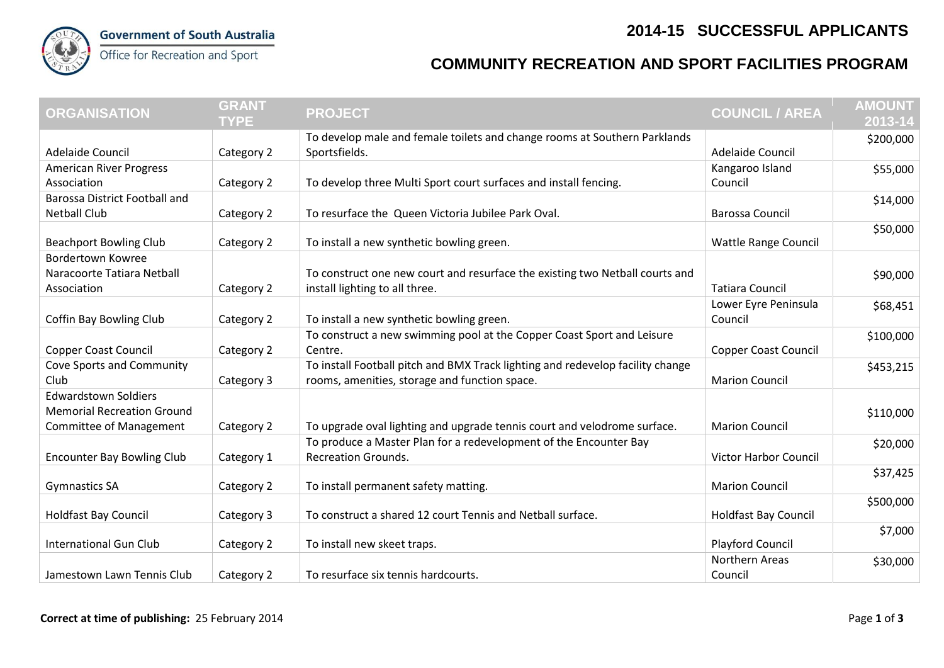## **2014-15 SUCCESSFUL APPLICANTS**



Office for Recreation and Sport

## **COMMUNITY RECREATION AND SPORT FACILITIES PROGRAM**

| <b>ORGANISATION</b>                  | <b>GRANT</b> | <b>PROJECT</b>                                                                 | <b>COUNCIL / AREA</b>        | <b>AMOUNT</b> |
|--------------------------------------|--------------|--------------------------------------------------------------------------------|------------------------------|---------------|
|                                      | <b>TYPE</b>  |                                                                                |                              | 2013-14       |
| Adelaide Council                     |              | To develop male and female toilets and change rooms at Southern Parklands      | Adelaide Council             | \$200,000     |
|                                      | Category 2   | Sportsfields.                                                                  |                              |               |
| <b>American River Progress</b>       |              |                                                                                | Kangaroo Island              | \$55,000      |
| Association                          | Category 2   | To develop three Multi Sport court surfaces and install fencing.               | Council                      |               |
| <b>Barossa District Football and</b> |              |                                                                                |                              | \$14,000      |
| <b>Netball Club</b>                  | Category 2   | To resurface the Queen Victoria Jubilee Park Oval.                             | <b>Barossa Council</b>       |               |
| <b>Beachport Bowling Club</b>        | Category 2   | To install a new synthetic bowling green.                                      | <b>Wattle Range Council</b>  | \$50,000      |
| <b>Bordertown Kowree</b>             |              |                                                                                |                              |               |
| Naracoorte Tatiara Netball           |              | To construct one new court and resurface the existing two Netball courts and   |                              | \$90,000      |
| Association                          | Category 2   | install lighting to all three.                                                 | <b>Tatiara Council</b>       |               |
|                                      |              |                                                                                | Lower Eyre Peninsula         | \$68,451      |
| <b>Coffin Bay Bowling Club</b>       | Category 2   | To install a new synthetic bowling green.                                      | Council                      |               |
|                                      |              | To construct a new swimming pool at the Copper Coast Sport and Leisure         |                              | \$100,000     |
| <b>Copper Coast Council</b>          | Category 2   | Centre.                                                                        | <b>Copper Coast Council</b>  |               |
| Cove Sports and Community            |              | To install Football pitch and BMX Track lighting and redevelop facility change |                              | \$453,215     |
| Club                                 | Category 3   | rooms, amenities, storage and function space.                                  | <b>Marion Council</b>        |               |
| <b>Edwardstown Soldiers</b>          |              |                                                                                |                              |               |
| <b>Memorial Recreation Ground</b>    |              |                                                                                |                              | \$110,000     |
| <b>Committee of Management</b>       | Category 2   | To upgrade oval lighting and upgrade tennis court and velodrome surface.       | <b>Marion Council</b>        |               |
|                                      |              | To produce a Master Plan for a redevelopment of the Encounter Bay              |                              | \$20,000      |
| <b>Encounter Bay Bowling Club</b>    | Category 1   | <b>Recreation Grounds.</b>                                                     | <b>Victor Harbor Council</b> |               |
|                                      |              |                                                                                |                              | \$37,425      |
| <b>Gymnastics SA</b>                 | Category 2   | To install permanent safety matting.                                           | <b>Marion Council</b>        |               |
|                                      |              |                                                                                |                              | \$500,000     |
| <b>Holdfast Bay Council</b>          | Category 3   | To construct a shared 12 court Tennis and Netball surface.                     | <b>Holdfast Bay Council</b>  |               |
|                                      |              |                                                                                |                              | \$7,000       |
| <b>International Gun Club</b>        | Category 2   | To install new skeet traps.                                                    | Playford Council             |               |
|                                      |              |                                                                                | Northern Areas               | \$30,000      |
| Jamestown Lawn Tennis Club           | Category 2   | To resurface six tennis hardcourts.                                            | Council                      |               |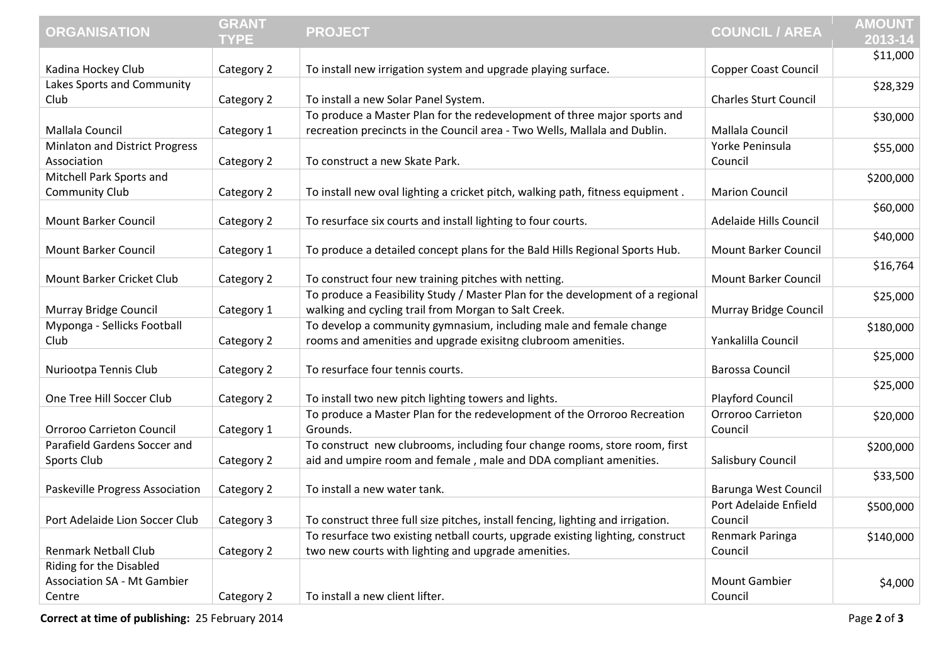| <b>ORGANISATION</b>                | <b>GRANT</b><br><b>TYPE</b> | <b>PROJECT</b>                                                                  | <b>COUNCIL / AREA</b>        | <b>AMOUNT</b><br>2013-14 |
|------------------------------------|-----------------------------|---------------------------------------------------------------------------------|------------------------------|--------------------------|
| Kadina Hockey Club                 | Category 2                  | To install new irrigation system and upgrade playing surface.                   | <b>Copper Coast Council</b>  | \$11,000                 |
| Lakes Sports and Community         |                             |                                                                                 |                              | \$28,329                 |
| Club                               | Category 2                  | To install a new Solar Panel System.                                            | <b>Charles Sturt Council</b> |                          |
|                                    |                             | To produce a Master Plan for the redevelopment of three major sports and        |                              | \$30,000                 |
| Mallala Council                    | Category 1                  | recreation precincts in the Council area - Two Wells, Mallala and Dublin.       | Mallala Council              |                          |
| Minlaton and District Progress     |                             |                                                                                 | Yorke Peninsula              | \$55,000                 |
| Association                        | Category 2                  | To construct a new Skate Park.                                                  | Council                      |                          |
| Mitchell Park Sports and           |                             |                                                                                 |                              | \$200,000                |
| <b>Community Club</b>              | Category 2                  | To install new oval lighting a cricket pitch, walking path, fitness equipment.  | <b>Marion Council</b>        |                          |
|                                    |                             |                                                                                 |                              | \$60,000                 |
| <b>Mount Barker Council</b>        | Category 2                  | To resurface six courts and install lighting to four courts.                    | Adelaide Hills Council       |                          |
|                                    |                             |                                                                                 |                              | \$40,000                 |
| <b>Mount Barker Council</b>        | Category 1                  | To produce a detailed concept plans for the Bald Hills Regional Sports Hub.     | <b>Mount Barker Council</b>  |                          |
| Mount Barker Cricket Club          | Category 2                  | To construct four new training pitches with netting.                            | <b>Mount Barker Council</b>  | \$16,764                 |
|                                    |                             | To produce a Feasibility Study / Master Plan for the development of a regional  |                              |                          |
| Murray Bridge Council              | Category 1                  | walking and cycling trail from Morgan to Salt Creek.                            | Murray Bridge Council        | \$25,000                 |
| Myponga - Sellicks Football        |                             | To develop a community gymnasium, including male and female change              |                              | \$180,000                |
| Club                               | Category 2                  | rooms and amenities and upgrade exisitng clubroom amenities.                    | Yankalilla Council           |                          |
|                                    |                             |                                                                                 |                              | \$25,000                 |
| Nuriootpa Tennis Club              | Category 2                  | To resurface four tennis courts.                                                | <b>Barossa Council</b>       |                          |
|                                    |                             |                                                                                 |                              | \$25,000                 |
| One Tree Hill Soccer Club          | Category 2                  | To install two new pitch lighting towers and lights.                            | Playford Council             |                          |
|                                    |                             | To produce a Master Plan for the redevelopment of the Orroroo Recreation        | Orroroo Carrieton            | \$20,000                 |
| Orroroo Carrieton Council          | Category 1                  | Grounds.                                                                        | Council                      |                          |
| Parafield Gardens Soccer and       |                             | To construct new clubrooms, including four change rooms, store room, first      |                              | \$200,000                |
| Sports Club                        | Category 2                  | aid and umpire room and female, male and DDA compliant amenities.               | Salisbury Council            |                          |
|                                    |                             |                                                                                 |                              | \$33,500                 |
| Paskeville Progress Association    | Category 2                  | To install a new water tank.                                                    | Barunga West Council         |                          |
|                                    |                             |                                                                                 | Port Adelaide Enfield        | \$500,000                |
| Port Adelaide Lion Soccer Club     | Category 3                  | To construct three full size pitches, install fencing, lighting and irrigation. | Council                      |                          |
|                                    |                             | To resurface two existing netball courts, upgrade existing lighting, construct  | Renmark Paringa              | \$140,000                |
| <b>Renmark Netball Club</b>        | Category 2                  | two new courts with lighting and upgrade amenities.                             | Council                      |                          |
| Riding for the Disabled            |                             |                                                                                 |                              |                          |
| <b>Association SA - Mt Gambier</b> |                             |                                                                                 | <b>Mount Gambier</b>         | \$4,000                  |
| Centre                             | Category 2                  | To install a new client lifter.                                                 | Council                      |                          |